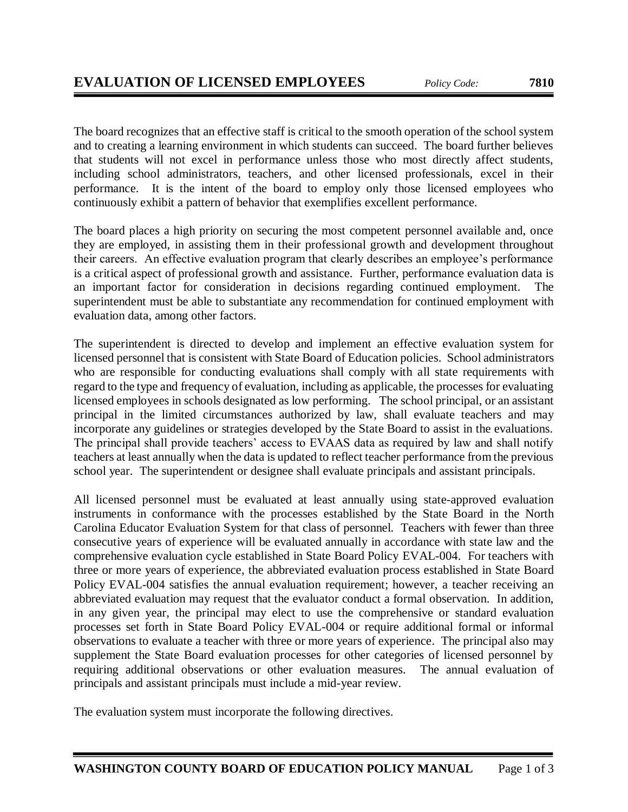The board recognizes that an effective staff is critical to the smooth operation of the school system and to creating a learning environment in which students can succeed. The board further believes that students will not excel in performance unless those who most directly affect students, including school administrators, teachers, and other licensed professionals, excel in their performance. It is the intent of the board to employ only those licensed employees who continuously exhibit a pattern of behavior that exemplifies excellent performance.

The board places a high priority on securing the most competent personnel available and, once they are employed, in assisting them in their professional growth and development throughout their careers. An effective evaluation program that clearly describes an employee's performance is a critical aspect of professional growth and assistance. Further, performance evaluation data is an important factor for consideration in decisions regarding continued employment. The superintendent must be able to substantiate any recommendation for continued employment with evaluation data, among other factors.

The superintendent is directed to develop and implement an effective evaluation system for licensed personnel that is consistent with State Board of Education policies. School administrators who are responsible for conducting evaluations shall comply with all state requirements with regard to the type and frequency of evaluation, including as applicable, the processes for evaluating licensed employees in schools designated as low performing. The school principal, or an assistant principal in the limited circumstances authorized by law, shall evaluate teachers and may incorporate any guidelines or strategies developed by the State Board to assist in the evaluations. The principal shall provide teachers' access to EVAAS data as required by law and shall notify teachers at least annually when the data is updated to reflect teacher performance from the previous school year. The superintendent or designee shall evaluate principals and assistant principals.

All licensed personnel must be evaluated at least annually using state-approved evaluation instruments in conformance with the processes established by the State Board in the North Carolina Educator Evaluation System for that class of personnel. Teachers with fewer than three consecutive years of experience will be evaluated annually in accordance with state law and the comprehensive evaluation cycle established in State Board Policy EVAL-004. For teachers with three or more years of experience, the abbreviated evaluation process established in State Board Policy EVAL-004 satisfies the annual evaluation requirement; however, a teacher receiving an abbreviated evaluation may request that the evaluator conduct a formal observation. In addition, in any given year, the principal may elect to use the comprehensive or standard evaluation processes set forth in State Board Policy EVAL-004 or require additional formal or informal observations to evaluate a teacher with three or more years of experience. The principal also may supplement the State Board evaluation processes for other categories of licensed personnel by requiring additional observations or other evaluation measures. The annual evaluation of principals and assistant principals must include a mid-year review.

**WASHINGTON COUNTY BOARD OF EDUCATION POLICY MANUAL** Page 1 of 3

The evaluation system must incorporate the following directives.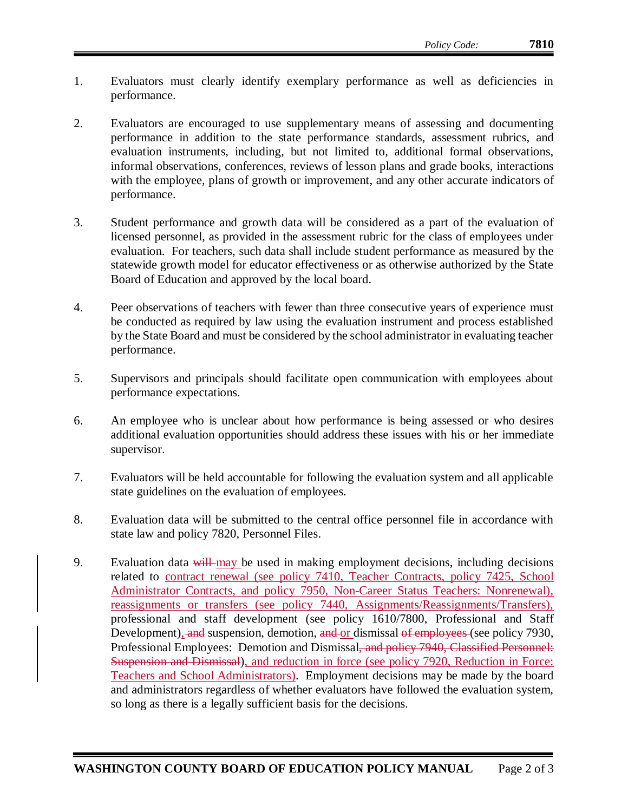- 1. Evaluators must clearly identify exemplary performance as well as deficiencies in performance.
- 2. Evaluators are encouraged to use supplementary means of assessing and documenting performance in addition to the state performance standards, assessment rubrics, and evaluation instruments, including, but not limited to, additional formal observations, informal observations, conferences, reviews of lesson plans and grade books, interactions with the employee, plans of growth or improvement, and any other accurate indicators of performance.
- 3. Student performance and growth data will be considered as a part of the evaluation of licensed personnel, as provided in the assessment rubric for the class of employees under evaluation. For teachers, such data shall include student performance as measured by the statewide growth model for educator effectiveness or as otherwise authorized by the State Board of Education and approved by the local board.
- 4. Peer observations of teachers with fewer than three consecutive years of experience must be conducted as required by law using the evaluation instrument and process established by the State Board and must be considered by the school administrator in evaluating teacher performance.
- 5. Supervisors and principals should facilitate open communication with employees about performance expectations.
- 6. An employee who is unclear about how performance is being assessed or who desires additional evaluation opportunities should address these issues with his or her immediate supervisor.
- 7. Evaluators will be held accountable for following the evaluation system and all applicable state guidelines on the evaluation of employees.
- 8. Evaluation data will be submitted to the central office personnel file in accordance with state law and policy 7820, Personnel Files.
- 9. Evaluation data will may be used in making employment decisions, including decisions related to contract renewal (see policy 7410, Teacher Contracts, policy 7425, School Administrator Contracts, and policy 7950, Non-Career Status Teachers: Nonrenewal), reassignments or transfers (see policy 7440, Assignments/Reassignments/Transfers), professional and staff development (see policy 1610/7800, Professional and Staff Development), and suspension, demotion, and or dismissal of employees (see policy 7930, Professional Employees: Demotion and Dismissal<del>, and policy 7940, Classified Personnel:</del> Suspension and Dismissal), and reduction in force (see policy 7920, Reduction in Force: Teachers and School Administrators). Employment decisions may be made by the board and administrators regardless of whether evaluators have followed the evaluation system, so long as there is a legally sufficient basis for the decisions.